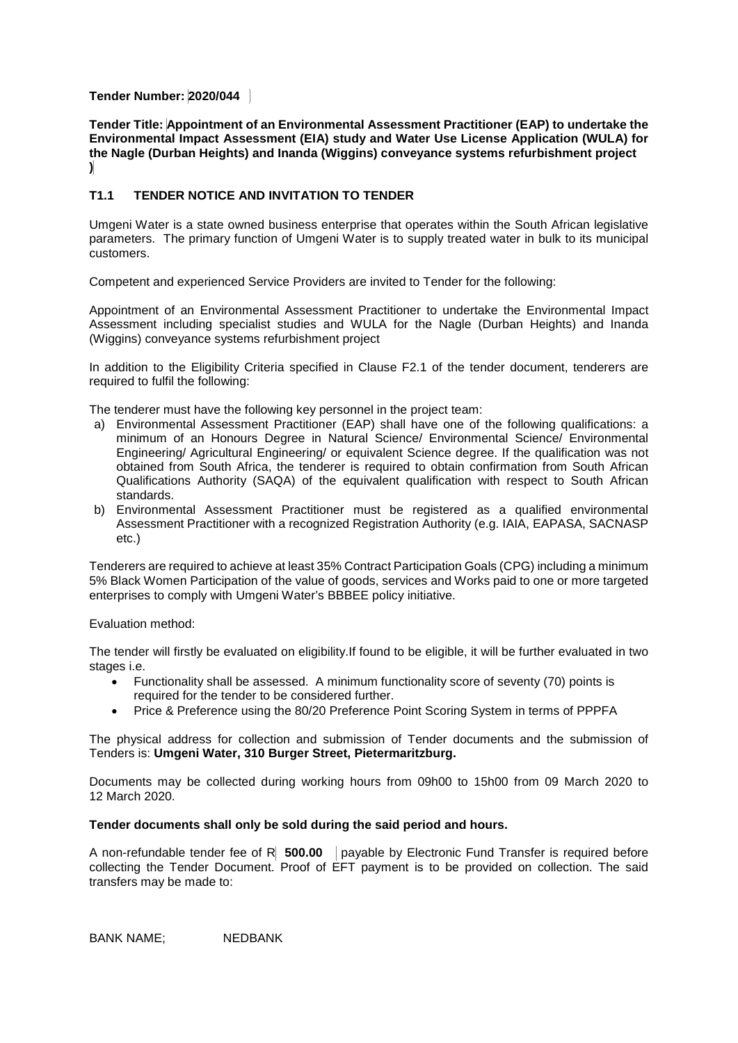# **Tender Number: 2020/044**

**Tender Title: Appointment of an Environmental Assessment Practitioner (EAP) to undertake the Environmental Impact Assessment (EIA) study and Water Use License Application (WULA) for the Nagle (Durban Heights) and Inanda (Wiggins) conveyance systems refurbishment project )**

# **T1.1 TENDER NOTICE AND INVITATION TO TENDER**

Umgeni Water is a state owned business enterprise that operates within the South African legislative parameters. The primary function of Umgeni Water is to supply treated water in bulk to its municipal customers.

Competent and experienced Service Providers are invited to Tender for the following:

Appointment of an Environmental Assessment Practitioner to undertake the Environmental Impact Assessment including specialist studies and WULA for the Nagle (Durban Heights) and Inanda (Wiggins) conveyance systems refurbishment project

In addition to the Eligibility Criteria specified in Clause F2.1 of the tender document, tenderers are required to fulfil the following:

The tenderer must have the following key personnel in the project team:

- a) Environmental Assessment Practitioner (EAP) shall have one of the following qualifications: a minimum of an Honours Degree in Natural Science/ Environmental Science/ Environmental Engineering/ Agricultural Engineering/ or equivalent Science degree. If the qualification was not obtained from South Africa, the tenderer is required to obtain confirmation from South African Qualifications Authority (SAQA) of the equivalent qualification with respect to South African standards.
- b) Environmental Assessment Practitioner must be registered as a qualified environmental Assessment Practitioner with a recognized Registration Authority (e.g. IAIA, EAPASA, SACNASP etc.)

Tenderers are required to achieve at least 35% Contract Participation Goals (CPG) including a minimum 5% Black Women Participation of the value of goods, services and Works paid to one or more targeted enterprises to comply with Umgeni Water's BBBEE policy initiative.

Evaluation method:

The tender will firstly be evaluated on eligibility.If found to be eligible, it will be further evaluated in two stages i.e.

- Functionality shall be assessed. A minimum functionality score of seventy (70) points is required for the tender to be considered further.
- Price & Preference using the 80/20 Preference Point Scoring System in terms of PPPFA

The physical address for collection and submission of Tender documents and the submission of Tenders is: **Umgeni Water, 310 Burger Street, Pietermaritzburg.**

Documents may be collected during working hours from 09h00 to 15h00 from 09 March 2020 to 12 March 2020.

## **Tender documents shall only be sold during the said period and hours.**

A non-refundable tender fee of R **500.00** payable by Electronic Fund Transfer is required before collecting the Tender Document. Proof of EFT payment is to be provided on collection. The said transfers may be made to:

BANK NAME; NEDBANK